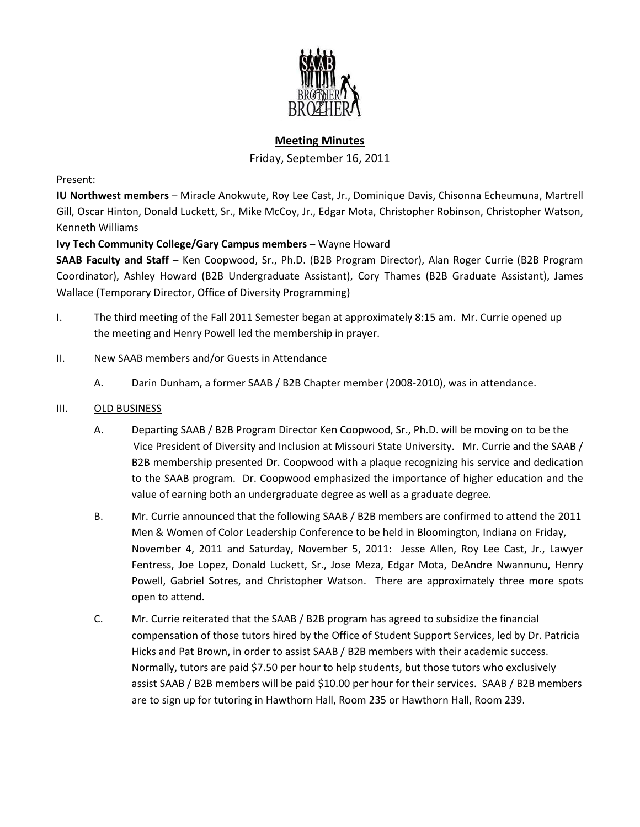

# **Meeting Minutes**

Friday, September 16, 2011

## Present:

**IU Northwest members** – Miracle Anokwute, Roy Lee Cast, Jr., Dominique Davis, Chisonna Echeumuna, Martrell Gill, Oscar Hinton, Donald Luckett, Sr., Mike McCoy, Jr., Edgar Mota, Christopher Robinson, Christopher Watson, Kenneth Williams

# **Ivy Tech Community College/Gary Campus members** – Wayne Howard

**SAAB Faculty and Staff** – Ken Coopwood, Sr., Ph.D. (B2B Program Director), Alan Roger Currie (B2B Program Coordinator), Ashley Howard (B2B Undergraduate Assistant), Cory Thames (B2B Graduate Assistant), James Wallace (Temporary Director, Office of Diversity Programming)

- I. The third meeting of the Fall 2011 Semester began at approximately 8:15 am. Mr. Currie opened up the meeting and Henry Powell led the membership in prayer.
- II. New SAAB members and/or Guests in Attendance
	- A. Darin Dunham, a former SAAB / B2B Chapter member (2008-2010), was in attendance.

### III. OLD BUSINESS

- A. Departing SAAB / B2B Program Director Ken Coopwood, Sr., Ph.D. will be moving on to be the Vice President of Diversity and Inclusion at Missouri State University. Mr. Currie and the SAAB / B2B membership presented Dr. Coopwood with a plaque recognizing his service and dedication to the SAAB program. Dr. Coopwood emphasized the importance of higher education and the value of earning both an undergraduate degree as well as a graduate degree.
- B. Mr. Currie announced that the following SAAB / B2B members are confirmed to attend the 2011 Men & Women of Color Leadership Conference to be held in Bloomington, Indiana on Friday, November 4, 2011 and Saturday, November 5, 2011: Jesse Allen, Roy Lee Cast, Jr., Lawyer Fentress, Joe Lopez, Donald Luckett, Sr., Jose Meza, Edgar Mota, DeAndre Nwannunu, Henry Powell, Gabriel Sotres, and Christopher Watson. There are approximately three more spots open to attend.
- C. Mr. Currie reiterated that the SAAB / B2B program has agreed to subsidize the financial compensation of those tutors hired by the Office of Student Support Services, led by Dr. Patricia Hicks and Pat Brown, in order to assist SAAB / B2B members with their academic success. Normally, tutors are paid \$7.50 per hour to help students, but those tutors who exclusively assist SAAB / B2B members will be paid \$10.00 per hour for their services. SAAB / B2B members are to sign up for tutoring in Hawthorn Hall, Room 235 or Hawthorn Hall, Room 239.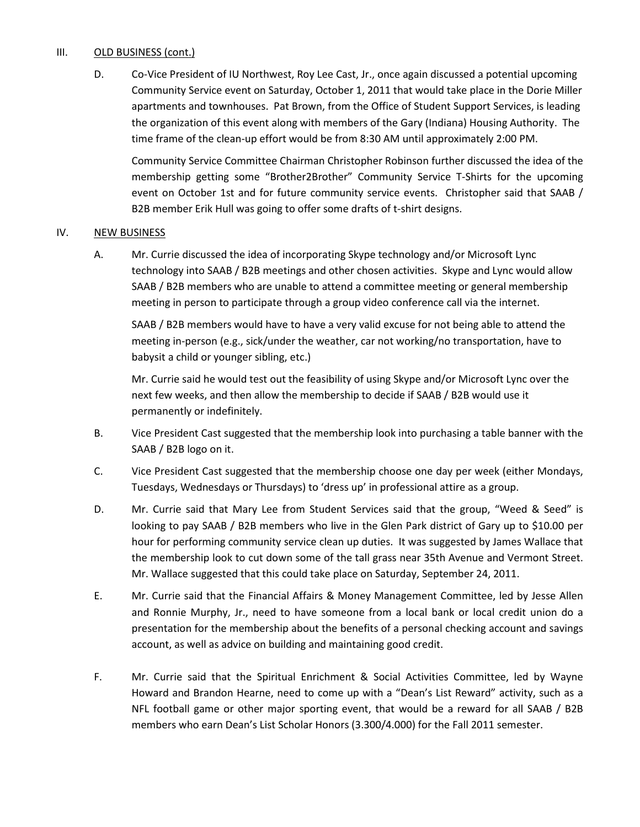### III. OLD BUSINESS (cont.)

D. Co-Vice President of IU Northwest, Roy Lee Cast, Jr., once again discussed a potential upcoming Community Service event on Saturday, October 1, 2011 that would take place in the Dorie Miller apartments and townhouses. Pat Brown, from the Office of Student Support Services, is leading the organization of this event along with members of the Gary (Indiana) Housing Authority. The time frame of the clean-up effort would be from 8:30 AM until approximately 2:00 PM.

Community Service Committee Chairman Christopher Robinson further discussed the idea of the membership getting some "Brother2Brother" Community Service T-Shirts for the upcoming event on October 1st and for future community service events. Christopher said that SAAB / B2B member Erik Hull was going to offer some drafts of t-shirt designs.

## IV. NEW BUSINESS

A. Mr. Currie discussed the idea of incorporating Skype technology and/or Microsoft Lync technology into SAAB / B2B meetings and other chosen activities. Skype and Lync would allow SAAB / B2B members who are unable to attend a committee meeting or general membership meeting in person to participate through a group video conference call via the internet.

SAAB / B2B members would have to have a very valid excuse for not being able to attend the meeting in-person (e.g., sick/under the weather, car not working/no transportation, have to babysit a child or younger sibling, etc.)

Mr. Currie said he would test out the feasibility of using Skype and/or Microsoft Lync over the next few weeks, and then allow the membership to decide if SAAB / B2B would use it permanently or indefinitely.

- B. Vice President Cast suggested that the membership look into purchasing a table banner with the SAAB / B2B logo on it.
- C. Vice President Cast suggested that the membership choose one day per week (either Mondays, Tuesdays, Wednesdays or Thursdays) to 'dress up' in professional attire as a group.
- D. Mr. Currie said that Mary Lee from Student Services said that the group, "Weed & Seed" is looking to pay SAAB / B2B members who live in the Glen Park district of Gary up to \$10.00 per hour for performing community service clean up duties. It was suggested by James Wallace that the membership look to cut down some of the tall grass near 35th Avenue and Vermont Street. Mr. Wallace suggested that this could take place on Saturday, September 24, 2011.
- E. Mr. Currie said that the Financial Affairs & Money Management Committee, led by Jesse Allen and Ronnie Murphy, Jr., need to have someone from a local bank or local credit union do a presentation for the membership about the benefits of a personal checking account and savings account, as well as advice on building and maintaining good credit.
- F. Mr. Currie said that the Spiritual Enrichment & Social Activities Committee, led by Wayne Howard and Brandon Hearne, need to come up with a "Dean's List Reward" activity, such as a NFL football game or other major sporting event, that would be a reward for all SAAB / B2B members who earn Dean's List Scholar Honors (3.300/4.000) for the Fall 2011 semester.